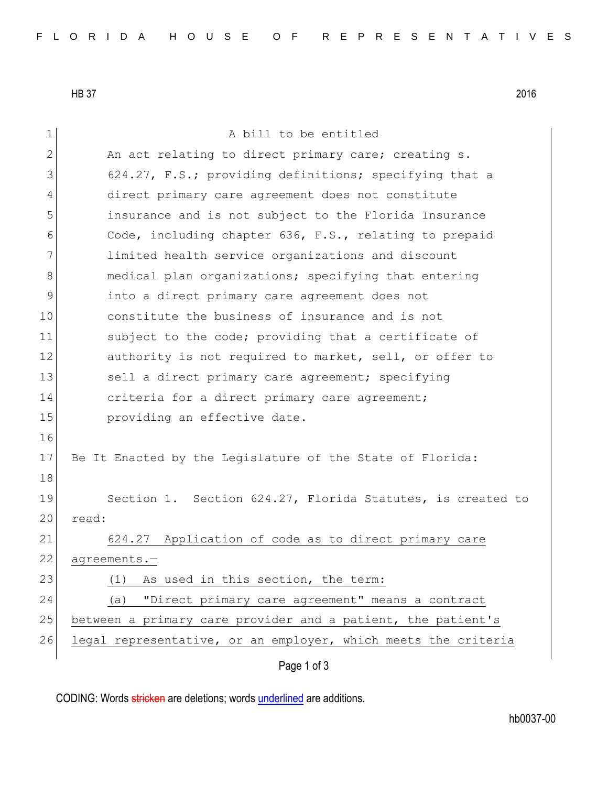HB 37 2016

Page 1 of 3 1 a bill to be entitled 2 An act relating to direct primary care; creating s. 3 624.27, F.S.; providing definitions; specifying that a 4 direct primary care agreement does not constitute 5 insurance and is not subject to the Florida Insurance 6 Code, including chapter 636, F.S., relating to prepaid 7 limited health service organizations and discount 8 medical plan organizations; specifying that entering 9 into a direct primary care agreement does not 10 constitute the business of insurance and is not 11 Subject to the code; providing that a certificate of 12 authority is not required to market, sell, or offer to 13 Sell a direct primary care agreement; specifying 14 criteria for a direct primary care agreement; 15 **providing an effective date.** 16 17 Be It Enacted by the Legislature of the State of Florida: 18 19 Section 1. Section 624.27, Florida Statutes, is created to 20 read: 21 624.27 Application of code as to direct primary care 22 agreements.-23 (1) As used in this section, the term: 24 (a) "Direct primary care agreement" means a contract 25 between a primary care provider and a patient, the patient's 26 legal representative, or an employer, which meets the criteria

CODING: Words stricken are deletions; words underlined are additions.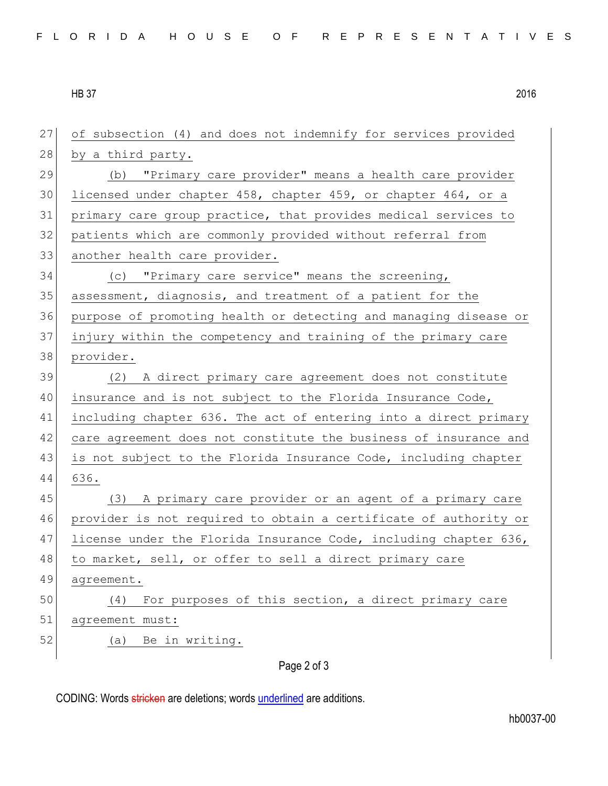HB 37 2016

| 27 | of subsection (4) and does not indemnify for services provided   |
|----|------------------------------------------------------------------|
| 28 | by a third party.                                                |
| 29 | (b) "Primary care provider" means a health care provider         |
| 30 | licensed under chapter 458, chapter 459, or chapter 464, or a    |
| 31 | primary care group practice, that provides medical services to   |
| 32 | patients which are commonly provided without referral from       |
| 33 | another health care provider.                                    |
| 34 | (c) "Primary care service" means the screening,                  |
| 35 | assessment, diagnosis, and treatment of a patient for the        |
| 36 | purpose of promoting health or detecting and managing disease or |
| 37 | injury within the competency and training of the primary care    |
| 38 | provider.                                                        |
| 39 | A direct primary care agreement does not constitute<br>(2)       |
| 40 | insurance and is not subject to the Florida Insurance Code,      |
| 41 | including chapter 636. The act of entering into a direct primary |
| 42 | care agreement does not constitute the business of insurance and |
| 43 | is not subject to the Florida Insurance Code, including chapter  |
| 44 | 636.                                                             |
| 45 | (3) A primary care provider or an agent of a primary care        |
| 46 | provider is not required to obtain a certificate of authority or |
| 47 | license under the Florida Insurance Code, including chapter 636, |
| 48 | to market, sell, or offer to sell a direct primary care          |
| 49 | agreement.                                                       |
| 50 | For purposes of this section, a direct primary care<br>(4)       |
| 51 | agreement must:                                                  |
| 52 | Be in writing.<br>(a)                                            |
|    | Page 2 of 3                                                      |

CODING: Words stricken are deletions; words underlined are additions.